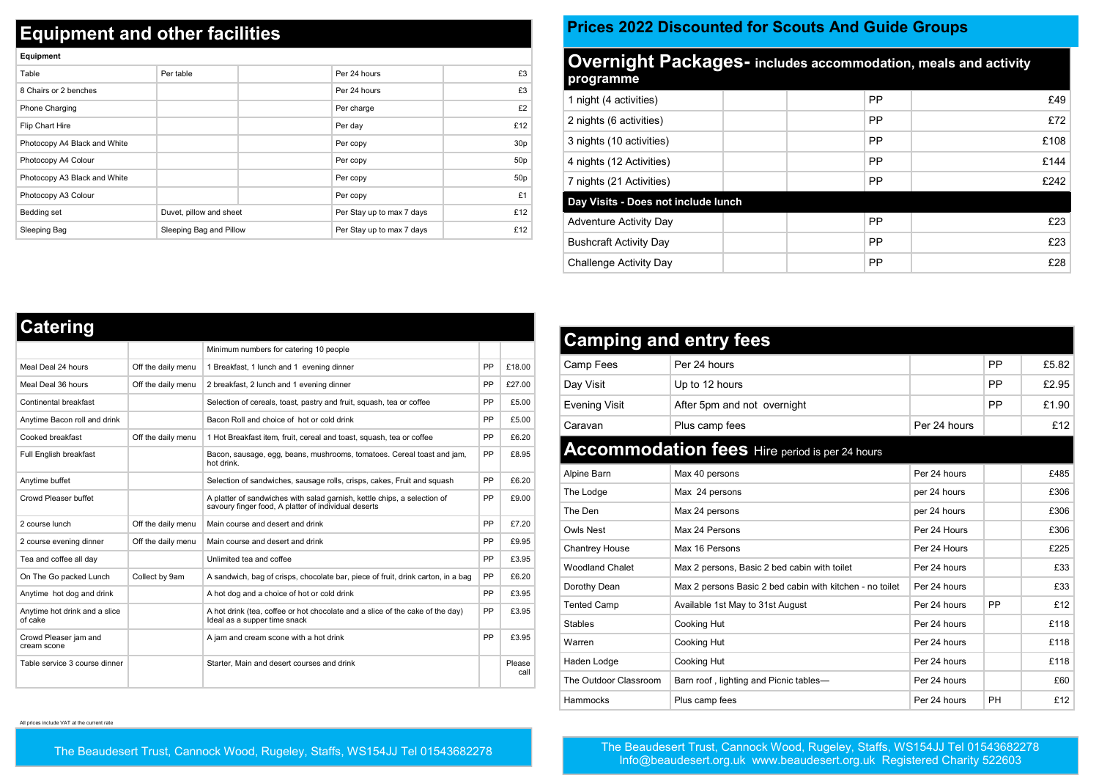## **Equipment and other facilities**

| Equipment                    |                         |                           |                 |
|------------------------------|-------------------------|---------------------------|-----------------|
| Table                        | Per table               | Per 24 hours              | £3              |
| 8 Chairs or 2 benches        |                         | Per 24 hours              | £3              |
| Phone Charging               |                         | Per charge                | £2              |
| Flip Chart Hire              |                         | Per day                   | £12             |
| Photocopy A4 Black and White |                         | Per copy                  | 30p             |
| Photocopy A4 Colour          |                         | Per copy                  | 50 <sub>p</sub> |
| Photocopy A3 Black and White |                         | Per copy                  | 50 <sub>p</sub> |
| Photocopy A3 Colour          |                         | Per copy                  | £1              |
| Bedding set                  | Duvet, pillow and sheet | Per Stay up to max 7 days | £12             |
| Sleeping Bag                 | Sleeping Bag and Pillow | Per Stay up to max 7 days | £12             |

## **Prices 2022 Discounted for Scouts And Guide Groups**

| <b>Overnight Packages-</b> includes accommodation, meals and activity<br>programme |  |  |           |      |  |  |
|------------------------------------------------------------------------------------|--|--|-----------|------|--|--|
| 1 night (4 activities)                                                             |  |  | <b>PP</b> | £49  |  |  |
| 2 nights (6 activities)                                                            |  |  | <b>PP</b> | £72  |  |  |
| 3 nights (10 activities)                                                           |  |  | PP        | £108 |  |  |
| 4 nights (12 Activities)                                                           |  |  | <b>PP</b> | £144 |  |  |
| 7 nights (21 Activities)                                                           |  |  | <b>PP</b> | £242 |  |  |
| Day Visits - Does not include lunch                                                |  |  |           |      |  |  |
| Adventure Activity Day                                                             |  |  | <b>PP</b> | £23  |  |  |
| <b>Bushcraft Activity Day</b>                                                      |  |  | <b>PP</b> | £23  |  |  |
| Challenge Activity Day                                                             |  |  | PP        | £28  |  |  |

| <b>Catering</b>                          |                    |                                                                                                                                  |    |                |
|------------------------------------------|--------------------|----------------------------------------------------------------------------------------------------------------------------------|----|----------------|
|                                          |                    | Minimum numbers for catering 10 people                                                                                           |    |                |
| Meal Deal 24 hours                       | Off the daily menu | 1 Breakfast, 1 lunch and 1 evening dinner                                                                                        | PP | £18.00         |
| Meal Deal 36 hours                       | Off the daily menu | 2 breakfast, 2 lunch and 1 evening dinner                                                                                        | PP | £27.00         |
| Continental breakfast                    |                    | Selection of cereals, toast, pastry and fruit, squash, tea or coffee                                                             | PP | £5.00          |
| Anytime Bacon roll and drink             |                    | Bacon Roll and choice of hot or cold drink                                                                                       | PP | £5.00          |
| Cooked breakfast                         | Off the daily menu | 1 Hot Breakfast item, fruit, cereal and toast, squash, tea or coffee                                                             | PP | £6.20          |
| Full English breakfast                   |                    | Bacon, sausage, egg, beans, mushrooms, tomatoes. Cereal toast and jam,<br>hot drink.                                             | PP | £8.95          |
| Anytime buffet                           |                    | Selection of sandwiches, sausage rolls, crisps, cakes, Fruit and squash                                                          | PP | £6.20          |
| Crowd Pleaser buffet                     |                    | A platter of sandwiches with salad garnish, kettle chips, a selection of<br>savoury finger food, A platter of individual deserts | PP | £9.00          |
| 2 course lunch                           | Off the daily menu | Main course and desert and drink                                                                                                 | PP | £7.20          |
| 2 course evening dinner                  | Off the daily menu | Main course and desert and drink                                                                                                 | PP | £9.95          |
| Tea and coffee all day                   |                    | Unlimited tea and coffee                                                                                                         | PP | £3.95          |
| On The Go packed Lunch                   | Collect by 9am     | A sandwich, bag of crisps, chocolate bar, piece of fruit, drink carton, in a bag                                                 | PP | £6.20          |
| Anytime hot dog and drink                |                    | A hot dog and a choice of hot or cold drink                                                                                      | PP | £3.95          |
| Anytime hot drink and a slice<br>of cake |                    | A hot drink (tea, coffee or hot chocolate and a slice of the cake of the day)<br>Ideal as a supper time snack                    | PP | £3.95          |
| Crowd Pleaser jam and<br>cream scone     |                    | A jam and cream scone with a hot drink                                                                                           | PP | £3.95          |
| Table service 3 course dinner            |                    | Starter, Main and desert courses and drink                                                                                       |    | Please<br>call |

| <b>Camping and entry fees</b> |                                                          |              |    |       |  |  |  |
|-------------------------------|----------------------------------------------------------|--------------|----|-------|--|--|--|
| Camp Fees                     | Per 24 hours                                             |              | PP | £5.82 |  |  |  |
| Day Visit                     | Up to 12 hours                                           |              | PP | £2.95 |  |  |  |
| Evening Visit                 | After 5pm and not overnight                              |              | PP | £1.90 |  |  |  |
| Caravan                       | Plus camp fees                                           | Per 24 hours |    | f12   |  |  |  |
|                               | <b>Accommodation fees</b> Hire period is per 24 hours    |              |    |       |  |  |  |
| Alpine Barn                   | Max 40 persons                                           | Per 24 hours |    | £485  |  |  |  |
| The Lodge                     | Max 24 persons                                           | per 24 hours |    | £306  |  |  |  |
| The Den                       | Max 24 persons                                           | per 24 hours |    | £306  |  |  |  |
| Owls Nest                     | Max 24 Persons                                           | Per 24 Hours |    | £306  |  |  |  |
| Chantrey House                | Max 16 Persons                                           | Per 24 Hours |    | £225  |  |  |  |
| <b>Woodland Chalet</b>        | Max 2 persons, Basic 2 bed cabin with toilet             | Per 24 hours |    | £33   |  |  |  |
| Dorothy Dean                  | Max 2 persons Basic 2 bed cabin with kitchen - no toilet | Per 24 hours |    | £33   |  |  |  |
| <b>Tented Camp</b>            | Available 1st May to 31st August                         | Per 24 hours | PP | £12   |  |  |  |
| <b>Stables</b>                | Cooking Hut                                              | Per 24 hours |    | £118  |  |  |  |
| Warren                        | Cooking Hut                                              | Per 24 hours |    | £118  |  |  |  |
| Haden Lodge                   | Cooking Hut                                              | Per 24 hours |    | £118  |  |  |  |
| The Outdoor Classroom         | Barn roof, lighting and Picnic tables-                   | Per 24 hours |    | £60   |  |  |  |
| Hammocks                      | Plus camp fees                                           | Per 24 hours | PH | £12   |  |  |  |

All prices include VAT at the current rate

The Beaudesert Trust, Cannock Wood, Rugeley, Staffs, WS154JJ Tel 01543682278

The Beaudesert Trust, Cannock Wood, Rugeley, Staffs, WS154JJ Tel 01543682278 Info@beaudesert.org.uk www.beaudesert.org.uk Registered Charity 522603